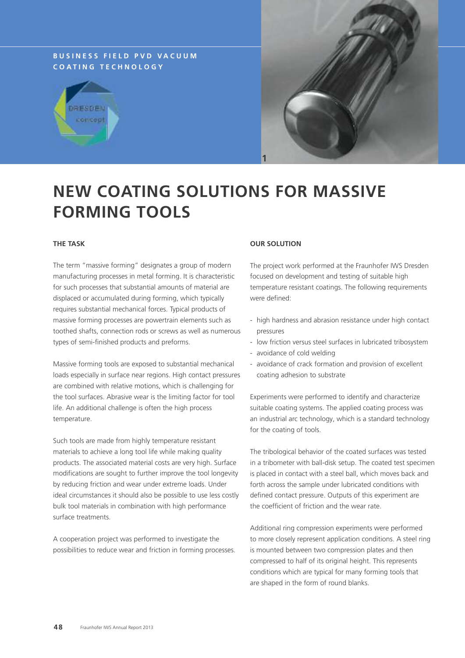## **B U S I N E S S F I E L D P V D V A C U U M C O A T I N G T E C H N O L O G Y**





# **NEW COATING SOLUTIONS FOR MASSIVE FORMING TOOLS**

#### **THE TASK**

The term "massive forming" designates a group of modern manufacturing processes in metal forming. It is characteristic for such processes that substantial amounts of material are displaced or accumulated during forming, which typically requires substantial mechanical forces. Typical products of massive forming processes are powertrain elements such as toothed shafts, connection rods or screws as well as numerous types of semi-finished products and preforms.

Massive forming tools are exposed to substantial mechanical loads especially in surface near regions. High contact pressures are combined with relative motions, which is challenging for the tool surfaces. Abrasive wear is the limiting factor for tool life. An additional challenge is often the high process temperature.

Such tools are made from highly temperature resistant materials to achieve a long tool life while making quality products. The associated material costs are very high. Surface modifications are sought to further improve the tool longevity by reducing friction and wear under extreme loads. Under ideal circumstances it should also be possible to use less costly bulk tool materials in combination with high performance surface treatments.

A cooperation project was performed to investigate the possibilities to reduce wear and friction in forming processes.

#### **OUR SOLUTION**

The project work performed at the Fraunhofer IWS Dresden focused on development and testing of suitable high temperature resistant coatings. The following requirements were defined:

- high hardness and abrasion resistance under high contact pressures
- low friction versus steel surfaces in lubricated tribosystem
- avoidance of cold welding
- avoidance of crack formation and provision of excellent coating adhesion to substrate

Experiments were performed to identify and characterize suitable coating systems. The applied coating process was an industrial arc technology, which is a standard technology for the coating of tools.

The tribological behavior of the coated surfaces was tested in a tribometer with ball-disk setup. The coated test specimen is placed in contact with a steel ball, which moves back and forth across the sample under lubricated conditions with defined contact pressure. Outputs of this experiment are the coefficient of friction and the wear rate.

Additional ring compression experiments were performed to more closely represent application conditions. A steel ring is mounted between two compression plates and then compressed to half of its original height. This represents conditions which are typical for many forming tools that are shaped in the form of round blanks.